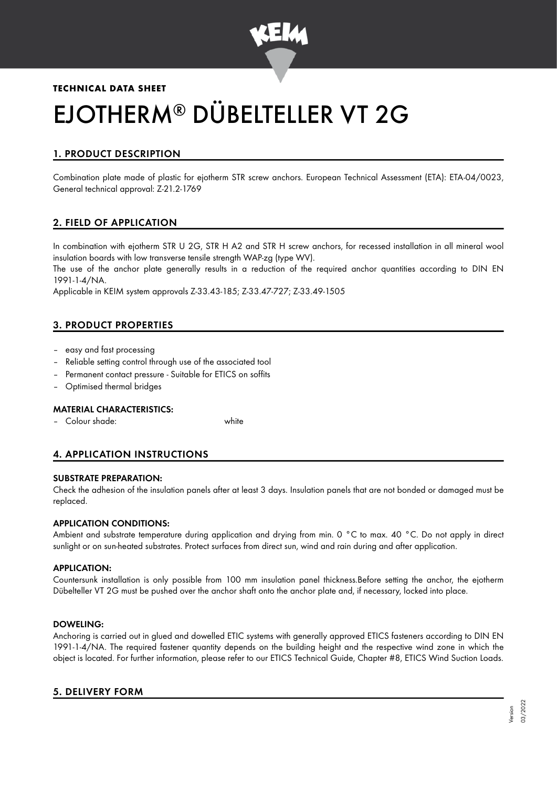

# **TECHNICAL DATA SHEET** EJOTHERM® DÜBELTELLER VT 2G

## 1. PRODUCT DESCRIPTION

Combination plate made of plastic for ejotherm STR screw anchors. European Technical Assessment (ETA): ETA-04/0023, General technical approval: Z-21.2-1769

## 2. FIELD OF APPLICATION

In combination with ejotherm STR U 2G, STR H A2 and STR H screw anchors, for recessed installation in all mineral wool insulation boards with low transverse tensile strength WAP-zg (type WV).

The use of the anchor plate generally results in a reduction of the required anchor quantities according to DIN EN 1991-1-4/NA.

Applicable in KEIM system approvals Z-33.43-185; Z-33.47-727; Z-33.49-1505

## 3. PRODUCT PROPERTIES

- easy and fast processing
- Reliable setting control through use of the associated tool
- Permanent contact pressure Suitable for ETICS on soffits
- Optimised thermal bridges

#### MATERIAL CHARACTERISTICS:

– Colour shade: white

## 4. APPLICATION INSTRUCTIONS

#### SUBSTRATE PREPARATION:

Check the adhesion of the insulation panels after at least 3 days. Insulation panels that are not bonded or damaged must be replaced.

#### APPLICATION CONDITIONS:

Ambient and substrate temperature during application and drying from min. 0 °C to max. 40 °C. Do not apply in direct sunlight or on sun-heated substrates. Protect surfaces from direct sun, wind and rain during and after application.

#### APPLICATION:

Countersunk installation is only possible from 100 mm insulation panel thickness.Before setting the anchor, the ejotherm Dübelteller VT 2G must be pushed over the anchor shaft onto the anchor plate and, if necessary, locked into place.

#### DOWELING:

Anchoring is carried out in glued and dowelled ETIC systems with generally approved ETICS fasteners according to DIN EN 1991-1-4/NA. The required fastener quantity depends on the building height and the respective wind zone in which the object is located. For further information, please refer to our ETICS Technical Guide, Chapter #8, ETICS Wind Suction Loads.

#### 5. DELIVERY FORM